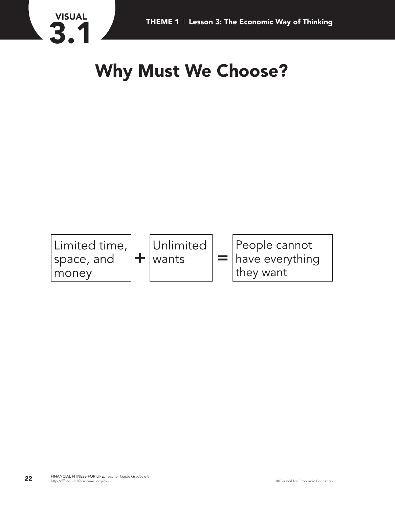

## **Why Must We Choose?**

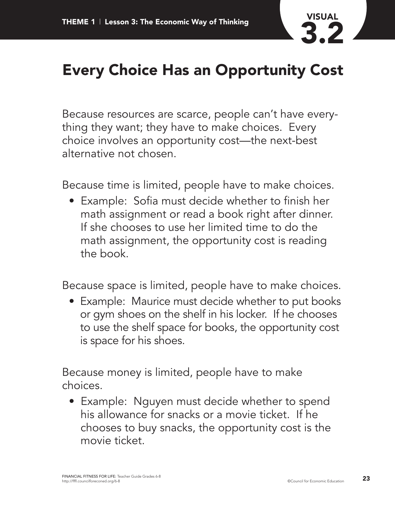

## **Every Choice Has an Opportunity Cost**

Because resources are scarce, people can't have everything they want; they have to make choices. Every choice involves an opportunity cost—the next-best alternative not chosen.

Because time is limited, people have to make choices.

• Example: Sofia must decide whether to finish her math assignment or read a book right after dinner. If she chooses to use her limited time to do the math assignment, the opportunity cost is reading the book.

Because space is limited, people have to make choices.

• Example: Maurice must decide whether to put books or gym shoes on the shelf in his locker. If he chooses to use the shelf space for books, the opportunity cost is space for his shoes.

Because money is limited, people have to make choices.

• Example: Nguyen must decide whether to spend his allowance for snacks or a movie ticket. If he chooses to buy snacks, the opportunity cost is the movie ticket.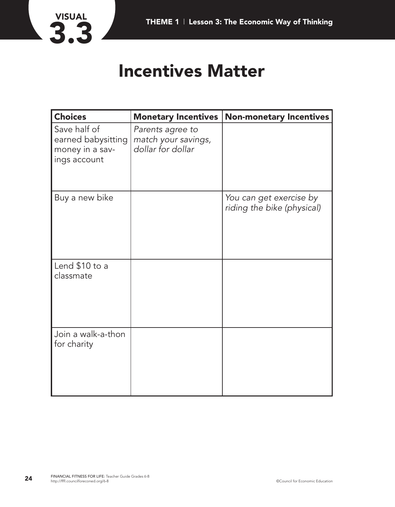

## **Incentives Matter**

| <b>Choices</b>                                                        | <b>Monetary Incentives</b>                                   | <b>Non-monetary Incentives</b>                        |
|-----------------------------------------------------------------------|--------------------------------------------------------------|-------------------------------------------------------|
| Save half of<br>earned babysitting<br>money in a sav-<br>ings account | Parents agree to<br>match your savings,<br>dollar for dollar |                                                       |
| Buy a new bike                                                        |                                                              | You can get exercise by<br>riding the bike (physical) |
| Lend \$10 to a<br>classmate                                           |                                                              |                                                       |
| Join a walk-a-thon<br>for charity                                     |                                                              |                                                       |